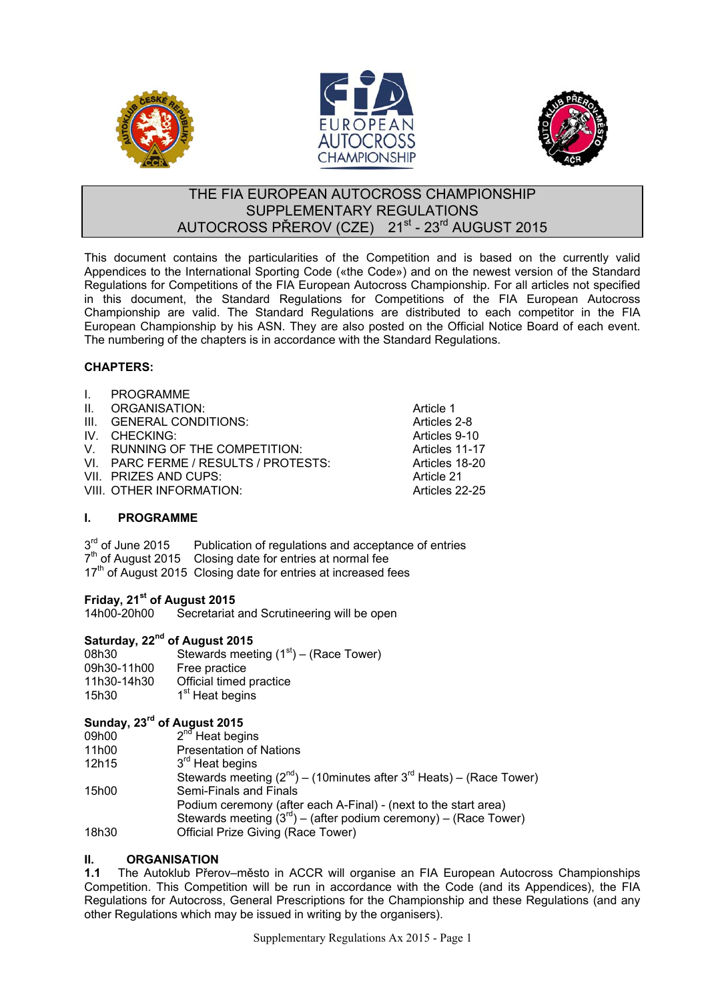





### THE FIA EUROPEAN AUTOCROSS CHAMPIONSHIP SUPPLEMENTARY REGULATIONS AUTOCROSS PŘEROV (CZE) 21st - 23rd AUGUST 2015

This document contains the particularities of the Competition and is based on the currently valid Appendices to the International Sporting Code («the Code») and on the newest version of the Standard Regulations for Competitions of the FIA European Autocross Championship. For all articles not specified in this document, the Standard Regulations for Competitions of the FIA European Autocross Championship are valid. The Standard Regulations are distributed to each competitor in the FIA European Championship by his ASN. They are also posted on the Official Notice Board of each event. The numbering of the chapters is in accordance with the Standard Regulations.

#### **CHAPTERS:**

| $\mathbf{L}$ | <b>PROGRAMME</b>                     |                |
|--------------|--------------------------------------|----------------|
| $\Pi$ .      | ORGANISATION:                        | Article 1      |
|              | III. GENERAL CONDITIONS:             | Articles 2-8   |
|              | IV. CHECKING:                        | Articles 9-10  |
|              | V. RUNNING OF THE COMPETITION:       | Articles 11-17 |
|              | VI. PARC FERME / RESULTS / PROTESTS: | Articles 18-20 |
|              | VII. PRIZES AND CUPS:                | Article 21     |
|              | VIII. OTHER INFORMATION:             | Articles 22-25 |
|              |                                      |                |

#### **I. PROGRAMME**

 $3<sup>rd</sup>$  of June 2015 Publication of regulations and acceptance of entries  $7<sup>th</sup>$  of August 2015 Closing date for entries at normal fee 17<sup>th</sup> of August 2015 Closing date for entries at increased fees

# **Friday, 21<sup>st</sup> of August 2015**<br>14h00-20h00 Secretariat

Secretariat and Scrutineering will be open

#### **Saturday, 22nd of August 2015**

| 08h30<br>09h30-11h00 | Stewards meeting $(1st)$ – (Race Tower)<br>Free practice |
|----------------------|----------------------------------------------------------|
| 11h30-14h30          | Official timed practice                                  |
| 15h30                | 1 <sup>st</sup> Heat begins                              |

#### **Sunday, 23rd of August 2015**

| 09h00 | $2^{nd}$ Heat begins                                                                 |
|-------|--------------------------------------------------------------------------------------|
| 11h00 | <b>Presentation of Nations</b>                                                       |
| 12h15 | 3 <sup>rd</sup> Heat begins                                                          |
|       | Stewards meeting $(2^{nd})$ – (10minutes after 3 <sup>rd</sup> Heats) – (Race Tower) |
| 15h00 | Semi-Finals and Finals                                                               |
|       | Podium ceremony (after each A-Final) - (next to the start area)                      |
|       | Stewards meeting $(3^{rd})$ – (after podium ceremony) – (Race Tower)                 |
| 18h30 | Official Prize Giving (Race Tower)                                                   |
|       |                                                                                      |

## **II. ORGANISATION**<br>**1.1** The Autoklub Přero

**1.1** The Autoklub Přerov–město in ACCR will organise an FIA European Autocross Championships Competition. This Competition will be run in accordance with the Code (and its Appendices), the FIA Regulations for Autocross, General Prescriptions for the Championship and these Regulations (and any other Regulations which may be issued in writing by the organisers).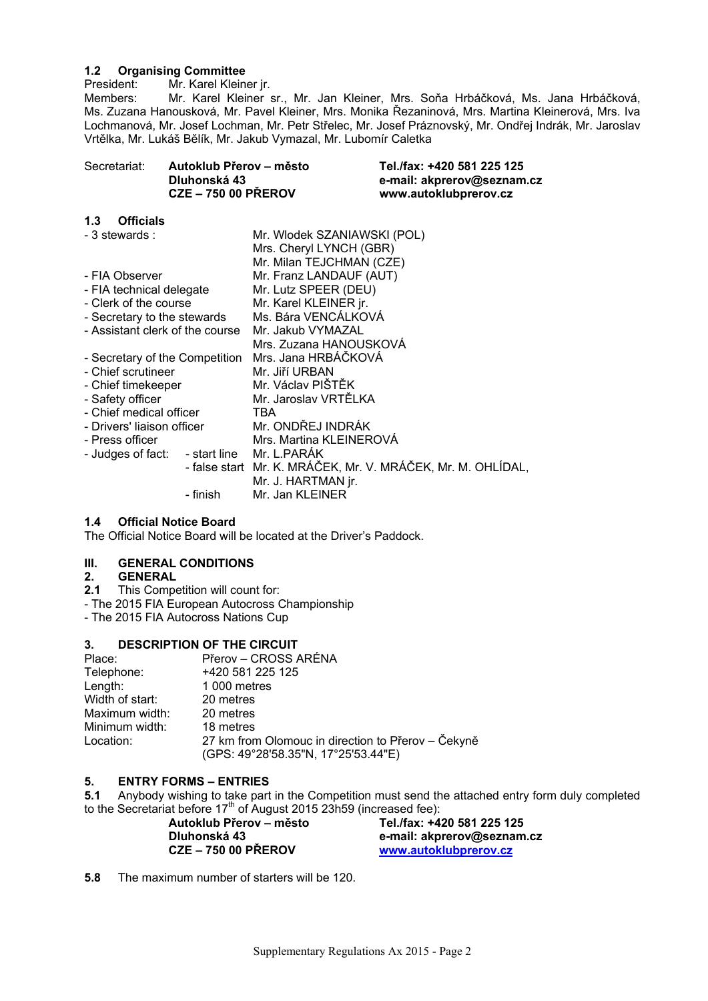### **1.2 Organising Committee**

President: Mr. Karel Kleiner jr.<br>Members: Mr. Karel Kleiner

Mr. Karel Kleiner sr., Mr. Jan Kleiner, Mrs. Soňa Hrbáčková, Ms. Jana Hrbáčková, Ms. Zuzana Hanousková, Mr. Pavel Kleiner, Mrs. Monika Řezaninová, Mrs. Martina Kleinerová, Mrs. Iva Lochmanová, Mr. Josef Lochman, Mr. Petr Střelec, Mr. Josef Práznovský, Mr. Ondřej Indrák, Mr. Jaroslav Vrtělka, Mr. Lukáš Bělík, Mr. Jakub Vymazal, Mr. Lubomír Caletka

| Secretariat: | Autoklub Přerov – město    | Tel./fax: +420 581 225 125 |
|--------------|----------------------------|----------------------------|
|              | Dluhonská 43               | e-mail: akprerov@seznam.cz |
|              | <b>CZE - 750 00 PŘEROV</b> | www.autoklubprerov.cz      |

#### **1.3 Officials**

| - 3 stewards :                             |          | Mr. Wlodek SZANIAWSKI (POL)                                 |  |  |
|--------------------------------------------|----------|-------------------------------------------------------------|--|--|
|                                            |          | Mrs. Cheryl LYNCH (GBR)                                     |  |  |
|                                            |          | Mr. Milan TEJCHMAN (CZE)                                    |  |  |
| - FIA Observer                             |          | Mr. Franz LANDAUF (AUT)                                     |  |  |
| - FIA technical delegate                   |          | Mr. Lutz SPEER (DEU)                                        |  |  |
| - Clerk of the course                      |          | Mr. Karel KLEINER jr.                                       |  |  |
| - Secretary to the stewards                |          | Ms. Bára VENCÁLKOVÁ                                         |  |  |
| - Assistant clerk of the course            |          | Mr. Jakub VYMAZAL                                           |  |  |
|                                            |          | Mrs. Zuzana HANOUSKOVÁ                                      |  |  |
| - Secretary of the Competition             |          | Mrs. Jana HRBÁČKOVÁ                                         |  |  |
| - Chief scrutineer                         |          | Mr. Jiří URBAN                                              |  |  |
| - Chief timekeeper                         |          | Mr. Václav PIŠTĚK                                           |  |  |
| - Safety officer                           |          | Mr. Jaroslav VRTĚLKA                                        |  |  |
| - Chief medical officer                    |          | TBA                                                         |  |  |
| - Drivers' liaison officer                 |          | Mr. ONDŘEJ INDRÁK                                           |  |  |
| - Press officer                            |          | Mrs. Martina KLEINEROVA                                     |  |  |
| - Judges of fact: - start line Mr. L.PARÁK |          |                                                             |  |  |
|                                            |          | - false start Mr. K. MRÁČEK, Mr. V. MRÁČEK, Mr. M. OHLÍDAL, |  |  |
|                                            |          | Mr. J. HARTMAN jr.                                          |  |  |
|                                            | - finish | Mr. Jan KLEINER                                             |  |  |

#### **1.4 Official Notice Board**

The Official Notice Board will be located at the Driver's Paddock.

#### **III. GENERAL CONDITIONS**

#### **2. GENERAL**

- **2.1** This Competition will count for:
- The 2015 FIA European Autocross Championship
- The 2015 FIA Autocross Nations Cup

#### **3. DESCRIPTION OF THE CIRCUIT**

| Place:          | Přerov – CROSS ARÉNA                               |
|-----------------|----------------------------------------------------|
| Telephone:      | +420 581 225 125                                   |
| Length:         | 1 000 metres                                       |
| Width of start: | 20 metres                                          |
| Maximum width:  | 20 metres                                          |
| Minimum width:  | 18 metres                                          |
| Location:       | 27 km from Olomouc in direction to Přerov – Čekyně |
|                 | (GPS: 49°28'58.35"N, 17°25'53.44"E)                |

**5. ENTRY FORMS – ENTRIES 5.1** Anybody wishing to take part in the Competition must send the attached entry form duly completed to the Secretariat before  $17<sup>th</sup>$  of August 2015 23h59 (increased fee):

**Autoklub Přerov – město Tel./fax: +420 581 225 125 Dluhonská 43 e-mail: akprerov@seznam.cz**  www.autoklubprerov.cz

**5.8** The maximum number of starters will be 120.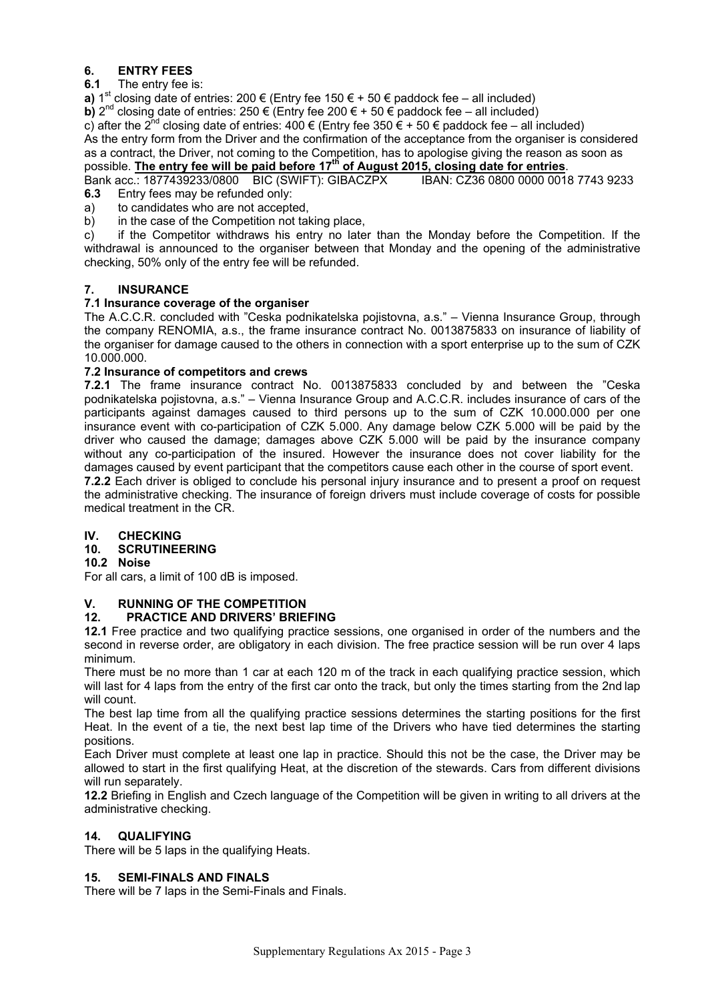#### **6. ENTRY FEES**

#### **6.1** The entry fee is:

**a)** 1<sup>st</sup> closing date of entries: 200 € (Entry fee 150 € + 50 € paddock fee – all included)

**b)**  $2^{nd}$  closing date of entries:  $250 \in$  (Entry fee 200  $\in$  + 50  $\in$  paddock fee – all included) c) after the 2<sup>nd</sup> closing date of entries:  $400 \in$  (Entry fee 350  $\in$  + 50  $\in$  paddock fee – all included) As the entry form from the Driver and the confirmation of the acceptance from the organiser is considered as a contract, the Driver, not coming to the Competition, has to apologise giving the reason as soon as possible. **The entry fee will be paid before 17th of August 2015, closing date for entries**.

Bank acc.: 1877439233/0800 BIC (SWIFT): GIBACZPX IBAN: CZ36 0800 0000 0018 7743 9233 **6.3** Entry fees may be refunded only:

- a) to candidates who are not accepted,
- b) in the case of the Competition not taking place,

c) if the Competitor withdraws his entry no later than the Monday before the Competition. If the withdrawal is announced to the organiser between that Monday and the opening of the administrative checking, 50% only of the entry fee will be refunded.

#### **7. INSURANCE**

#### **7.1 Insurance coverage of the organiser**

The A.C.C.R. concluded with "Ceska podnikatelska pojistovna, a.s." – Vienna Insurance Group, through the company RENOMIA, a.s., the frame insurance contract No. 0013875833 on insurance of liability of the organiser for damage caused to the others in connection with a sport enterprise up to the sum of CZK 10.000.000.

#### **7.2 Insurance of competitors and crews**

**7.2.1** The frame insurance contract No. 0013875833 concluded by and between the "Ceska podnikatelska pojistovna, a.s." – Vienna Insurance Group and A.C.C.R. includes insurance of cars of the participants against damages caused to third persons up to the sum of CZK 10.000.000 per one insurance event with co-participation of CZK 5.000. Any damage below CZK 5.000 will be paid by the driver who caused the damage; damages above CZK 5.000 will be paid by the insurance company without any co-participation of the insured. However the insurance does not cover liability for the damages caused by event participant that the competitors cause each other in the course of sport event.

**7.2.2** Each driver is obliged to conclude his personal injury insurance and to present a proof on request the administrative checking. The insurance of foreign drivers must include coverage of costs for possible medical treatment in the CR.

#### **IV. CHECKING**

#### **10. SCRUTINEERING**

**10.2 Noise** 

For all cars, a limit of 100 dB is imposed.

#### **V. RUNNING OF THE COMPETITION**

#### **12. PRACTICE AND DRIVERS' BRIEFING**

**12.1** Free practice and two qualifying practice sessions, one organised in order of the numbers and the second in reverse order, are obligatory in each division. The free practice session will be run over 4 laps minimum.

There must be no more than 1 car at each 120 m of the track in each qualifying practice session, which will last for 4 laps from the entry of the first car onto the track, but only the times starting from the 2nd lap will count.

The best lap time from all the qualifying practice sessions determines the starting positions for the first Heat. In the event of a tie, the next best lap time of the Drivers who have tied determines the starting positions.

Each Driver must complete at least one lap in practice. Should this not be the case, the Driver may be allowed to start in the first qualifying Heat, at the discretion of the stewards. Cars from different divisions will run separately.

**12.2** Briefing in English and Czech language of the Competition will be given in writing to all drivers at the administrative checking.

#### **14. QUALIFYING**

There will be 5 laps in the qualifying Heats.

#### **15. SEMI-FINALS AND FINALS**

There will be 7 laps in the Semi-Finals and Finals.